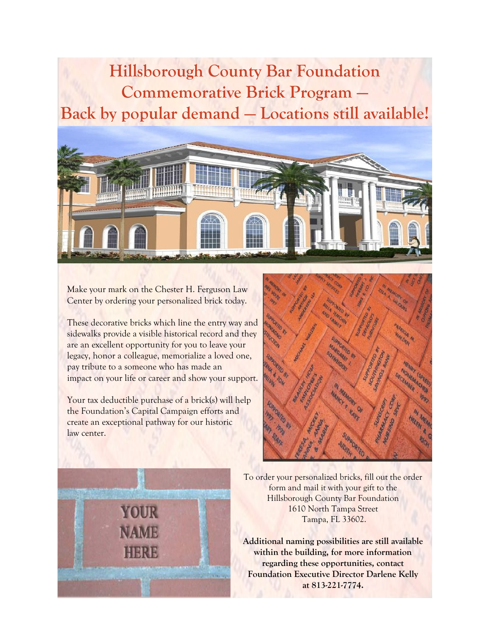## **Hillsborough County Bar Foundation Commemorative Brick Program — Back by popular demand — Locations still available!**



Make your mark on the Chester H. Ferguson Law Center by ordering your personalized brick today.

These decorative bricks which line the entry way and sidewalks provide a visible historical record and they are an excellent opportunity for you to leave your legacy, honor a colleague, memorialize a loved one, pay tribute to a someone who has made an impact on your life or career and show your support.

Your tax deductible purchase of a brick(s) will help the Foundation's Capital Campaign efforts and create an exceptional pathway for our historic law center.





To order your personalized bricks, fill out the order form and mail it with your gift to the Hillsborough County Bar Foundation 1610 North Tampa Street Tampa, FL 33602.

**Additional naming possibilities are still available within the building, for more information regarding these opportunities, contact Foundation Executive Director Darlene Kelly at 813-221-7774.**